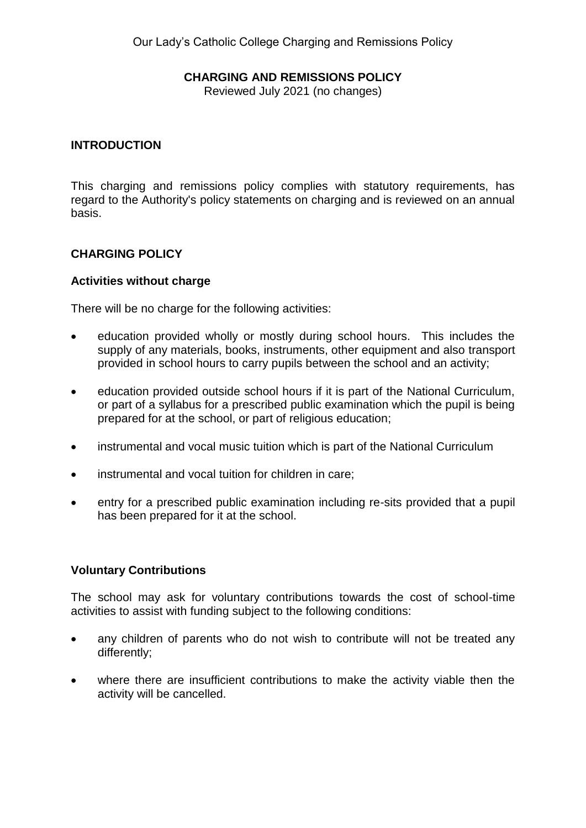## **CHARGING AND REMISSIONS POLICY**

Reviewed July 2021 (no changes)

## **INTRODUCTION**

This charging and remissions policy complies with statutory requirements, has regard to the Authority's policy statements on charging and is reviewed on an annual basis.

# **CHARGING POLICY**

#### **Activities without charge**

There will be no charge for the following activities:

- education provided wholly or mostly during school hours. This includes the supply of any materials, books, instruments, other equipment and also transport provided in school hours to carry pupils between the school and an activity;
- education provided outside school hours if it is part of the National Curriculum, or part of a syllabus for a prescribed public examination which the pupil is being prepared for at the school, or part of religious education;
- instrumental and vocal music tuition which is part of the National Curriculum
- instrumental and vocal tuition for children in care;
- entry for a prescribed public examination including re-sits provided that a pupil has been prepared for it at the school.

## **Voluntary Contributions**

The school may ask for voluntary contributions towards the cost of school-time activities to assist with funding subject to the following conditions:

- any children of parents who do not wish to contribute will not be treated any differently;
- where there are insufficient contributions to make the activity viable then the activity will be cancelled.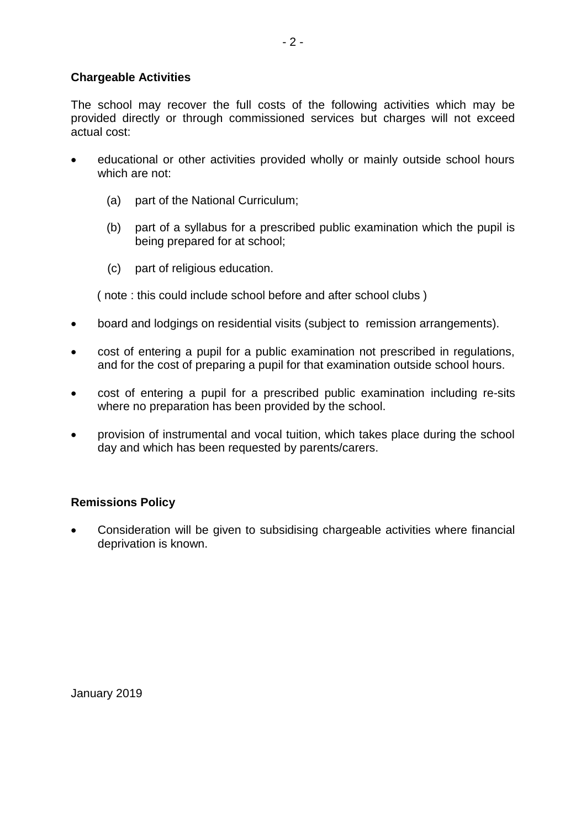## **Chargeable Activities**

The school may recover the full costs of the following activities which may be provided directly or through commissioned services but charges will not exceed actual cost:

- educational or other activities provided wholly or mainly outside school hours which are not:
	- (a) part of the National Curriculum;
	- (b) part of a syllabus for a prescribed public examination which the pupil is being prepared for at school;
	- (c) part of religious education.

( note : this could include school before and after school clubs )

- board and lodgings on residential visits (subject to remission arrangements).
- cost of entering a pupil for a public examination not prescribed in regulations, and for the cost of preparing a pupil for that examination outside school hours.
- cost of entering a pupil for a prescribed public examination including re-sits where no preparation has been provided by the school.
- provision of instrumental and vocal tuition, which takes place during the school day and which has been requested by parents/carers.

## **Remissions Policy**

 Consideration will be given to subsidising chargeable activities where financial deprivation is known.

January 2019